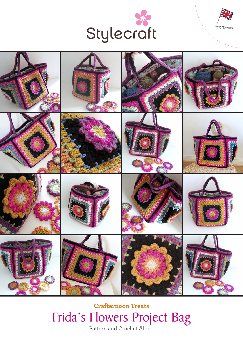





Pattern and Crochet Along **Crafternoon Treats** Frida's Flowers Project Bag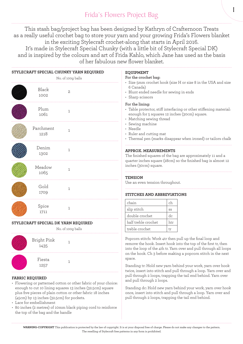# Frida's Flowers Project Bag

This stash bag/project bag has been designed by Kathryn of Crafternoon Treats as a really useful crochet bag to store your yarn and your growing Frida's Flowers blanket in the exciting Stylecraft crochet-along that starts in April 2016. It's made in Stylecraft Special Chunky (with a little bit of Stylecraft Special DK) and is inspired by the colours and art of Frida Kahlo, which Jane has used as the basis of her fabulous new flower blanket.

| STYLECRAFT SPECIAL CHUNKY YARN REQUIRED<br>No. of 100g balls |                     |              | <b>EQUIPMENT</b><br>For the crochet bag:<br>• Size 5mm crochet hook (size H or size 8 in the USA and size                                                                                                                                                                                     |                                                                                                                                                                                                  |  |
|--------------------------------------------------------------|---------------------|--------------|-----------------------------------------------------------------------------------------------------------------------------------------------------------------------------------------------------------------------------------------------------------------------------------------------|--------------------------------------------------------------------------------------------------------------------------------------------------------------------------------------------------|--|
|                                                              | Black<br>1002       | $\mathbf{2}$ | 6 Canada)<br>• Blunt ended needle for sewing in ends<br>• Sharp scissors                                                                                                                                                                                                                      |                                                                                                                                                                                                  |  |
|                                                              | Plum<br>1061        | $\mathbf{1}$ | For the lining:<br>· Table protector, stiff interfacing or other stiffening material:<br>enough for 5 squares 12 inches (30cm) square.<br>• Matching sewing thread<br>• Sewing machine<br>• Needle<br>• Ruler and cutting mat<br>• Thermal pen (marks disappear when ironed) or tailors chalk |                                                                                                                                                                                                  |  |
|                                                              | Parchment<br>1218   | $\mathbf{1}$ |                                                                                                                                                                                                                                                                                               |                                                                                                                                                                                                  |  |
|                                                              | Denim<br>1302       | $\mathbf{1}$ | <b>APPROX. MEASUREMENTS</b><br>The finished squares of the bag are approximately 11 and a<br>quarter inches square (28cm) so the finished bag is almost 12                                                                                                                                    |                                                                                                                                                                                                  |  |
|                                                              | Meadow              | $\mathbf{1}$ |                                                                                                                                                                                                                                                                                               | inches (30cm) square.                                                                                                                                                                            |  |
|                                                              | 1065                |              | TENSION                                                                                                                                                                                                                                                                                       |                                                                                                                                                                                                  |  |
|                                                              | Gold                |              | Use an even tension throughout.                                                                                                                                                                                                                                                               |                                                                                                                                                                                                  |  |
|                                                              | 1709                | $\mathbf{1}$ |                                                                                                                                                                                                                                                                                               | <b>STITCHES AND ABBREVIATIONS</b>                                                                                                                                                                |  |
|                                                              | Spice<br>1711       | 1            | chain                                                                                                                                                                                                                                                                                         | ch                                                                                                                                                                                               |  |
|                                                              |                     |              | slip stitch                                                                                                                                                                                                                                                                                   | SS                                                                                                                                                                                               |  |
|                                                              |                     |              | double crochet                                                                                                                                                                                                                                                                                | dc                                                                                                                                                                                               |  |
| STYLECRAFT SPECIAL DK YARN REQUIRED                          |                     |              | half treble crochet                                                                                                                                                                                                                                                                           | htr                                                                                                                                                                                              |  |
| No. of 100g balls                                            |                     |              | treble crochet                                                                                                                                                                                                                                                                                | tr                                                                                                                                                                                               |  |
|                                                              | Bright Pink<br>1435 | $\mathbf{1}$ |                                                                                                                                                                                                                                                                                               | Popcorn stitch: Work 4tr then pull up the final loop and<br>remove the hook. Insert hook into the top of the first tr, then<br>into the loop of the 4th tr. Yarn over and pull through all loops |  |
|                                                              | Fiesta<br>1257      | $\mathbf{1}$ | on the hook. Ch 3 before making a popcorn stitch in the next<br>space.<br>Standing tr: Hold new varn behind your work, varn over hook                                                                                                                                                         |                                                                                                                                                                                                  |  |

#### **FABRIC REQUIRED**

- Flowering or patterned cotton or other fabric of your choice: enough to cut 10 lining squares 13 inches (32.5cm) square plus five pieces of plain cotton or other fabric 18 inches (45cm) by 13 inches (32.5cm) for pockets.
- Lace for embellishment
- 80 inches (2 metres) of 10mm black piping cord to reinforce the top of the bag and the handle

#### Standing tr: Hold new yarn behind your work, yarn over hook twice, insert into stitch and pull through a loop. Yarn over and pull through 2 loops, trapping the tail end behind. Yarn over and pull through 2 loops.

1

Standing dc: Hold new yarn behind your work, yarn over hook once, insert into stitch and pull through a loop. Yarn over and pull through 2 loops, trapping the tail end behind.

**WARNING-COPYRIGHT** This publication is protected by the law of copyright. It is at your disposal free of charge. Please do not make any changes to the pattern. The reselling of Stylecraft free patterns in any form is prohibited.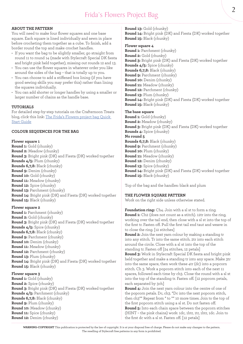# **ABOUT THE PATTERN**

You will need to make four flower squares and one base square. Each square is lined individually and sewn in place before crocheting them together as a cube. To finish, add a border round the top and make crochet handles.

- If you want the bag to be slightly smaller, go straight from round 11 to round 14 (made with Stylecraft Special DK fiesta and bright pink held together), missing out rounds 12 and 13.
- You can use the flower squares in whatever order you like around the sides of the bag – that is totally up to you.
- You can choose to add a stiffened box lining (if you have good sewing skills you may prefer this) rather than lining the squares individually.
- You can add shorter or longer handles by using a smaller or larger number of chains as the handle base.

#### **TUTORIALS**

For detailed step-by-step tutorials on the Crafternoon Treats blog, click this link: The Frida's Flowers project bag Quick Start Guide

#### **COLOUR SEQUENCES FOR THE BAG**

# **Flower square 1**

**Round 1:** Gold (chunky) **Round 2:** Meadow (chunky) **Round 3:** Bright pink (DK) and Fiesta (DK) worked together **Rounds 4/5:** Plum (chunky) **Rounds 6,7,8:** Black (chunky) **Round 9:** Denim (chunky) **Round 10:** Gold (chunky) **Round 11:** Meadow (chunky) **Round 12:** Spice (chunky) **Round 13:** Parchment (chunky) **Round 14:** Bright pink (DK) and Fiesta (DK) worked together **Round 15:** Black (chunky)

# **Flower square 2**

**Round 1:** Parchment (chunky) **Round 2:** Gold (chunky) **Round 3:** Bright pink (DK) and Fiesta (DK) worked together **Rounds 4/5:** Spice (chunky) **Rounds 6,7,8:** Black (chunky) **Round 9:** Parchment (chunky) **Round 10:** Denim (chunky) **Round 11:** Meadow (chunky) **Round 12:** Parchment (chunky) **Round 13:** Plum (chunky) **Round 14:** Bright pink (DK) and Fiesta (DK) worked together **Round 15:** Black (chunky)

# **Flower square 3**

**Round 1:** Gold (chunky) **Round 2:** Spice (chunky) **Round 3:** Bright pink (DK) and Fiesta (DK) worked together **Rounds 4/5:** Parchment (chunky) **Rounds 6,7,8:** Black (chunky) **Round 9:** Plum (chunky) **Round 10:** Meadow (chunky) **Round 11:** Spice (chunky) **Round 12:** Denim (chunky)

### **Round 13:** Gold (chunky) **Round 14:** Bright pink (DK) and Fiesta (DK) worked together **Round 15:** Black (chunky)

#### **Flower square 4**

**Round 1:** Parchment (chunky) **Round 2:** Gold (chunky) **Round 3:** Bright pink (DK) and Fiesta (DK) worked together **Rounds 4/5:** Spice (chunky) **Rounds 6,7,8:** Black (chunky) **Round 9:** Parchment (chunky) **Round 10:** Denim (chunky) **Round 11:** Meadow (chunky) **Round 12:** Parchment (chunky) **Round 13:** Plum (chunky) **Round 14:** Bright pink (DK) and Fiesta (DK) worked together **Round 15:** Black (chunky)

# **The base square**

**Round 1:** Gold (chunky) **Round 2:** Meadow (chunky) **Round 3:** Bright pink (DK) and Fiesta (DK) worked together **Rounds 4:** Spice (chunky) **No round 5 Rounds 6,7,8:** Black (chunky) **Round 9:** Parchment (chunky) **Round 10:** Plum (chunky) **Round 11:** Meadow (chunky) **Round 12:** Denim (chunky) **Round 13:** Spice (chunky) **Round 14:** Bright pink (DK) and Fiesta (DK) worked together **Round 15:** Black (chunky)

Top of the bag and the handles: black and plum

# **THE FLOWER SQUARE PATTERN**

Work on the right side unless otherwise stated.

**Foundation ring:** Ch4. Join with a sl st to form a ring. **Round 1:** Ch2 (does not count as a stitch). 12tr into the ring, working over the tail end, then close with a sl st into the top of the first tr. Fasten off. Pull the first tail end taut and weave in to close the ring. [12 stitches]

**Round 2:** Join the next yarn colour by making a standing tr into any stitch. Tr into the same stitch. 2tr into each stitch around the circle. Close with a sl st into the top of the standing tr. Fasten off [24 stitches, 12 petals]

**Round 3:** Work in Stylecraft Special DK fiesta and bright pink held together and make a standing tr into any space. Make 3tr into the same space, then work these 4tr (dc) into a popcorn stitch. Ch 3. Work a popcorn stitch into each of the next 11 spaces, followed each time by ch3. Close the round with a sl st into the top of the standing tr. Fasten off. [12 popcorn petals, each separated by 3ch]

**Round 4:** Join the next yarn colour into the centre of one of the popcorn petals. Dc, ch3. \*Dc into the next popcorn stitch, then ch3\*\* Repeat from \* to \*\* 10 more times. Join to the top of the first popcorn stitch using a sl st. Do not fasten off. **Round 5:** Into each chain space between the popcorn stitches (HINT – the pink chains) work: 1dc, 1htr, 1tr, 1htr, 1dc. Join to the first dc with a sl st. Fasten off. [12 petals]

**WARNING-COPYRIGHT** This publication is protected by the law of copyright. It is at your disposal free of charge. Please do not make any changes to the pattern. The reselling of Stylecraft free patterns in any form is prohibited.

 $\mathcal{P}$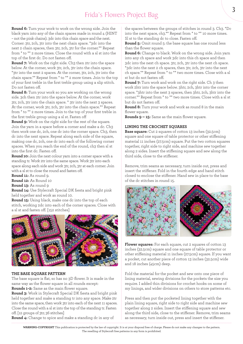**Round 6:** Turn your work to work on the wrong side. Join the black yarn into any of the chain spaces made in round 4 (HINT – not the pink chains). 3dc into this chain space and the next. Corner: 3tr, 2ch, 3tr into the next chain space. \*3dc into the next 2 chain spaces, then 3tr, 2ch, 3tr for the corner.\*\* Repeat from \* to \*\* 2 more times. Close the round with a sl st into the top of the first dc. Do not fasten off.

**Round 7:** Work on the right side. Ch3 then 2tr into the space below. At the corner, work 3tr, 2ch, 3tr into the chain space. \*3tr into the next 2 spaces. At the corner, 3tr, 2ch, 3tr into the chain space.\*\* Repeat from \* to \*\* 2 more times. Join to the top of your first treble in the first treble group using a slip stitch. Do not fasten off.

**Round 8:** Turn your work so you are working on the wrong side. 3ch then 2tr into the space below. At the corner, work 3tr, 2ch, 3tr into the chain space. \* 3tr into the next 3 spaces. At the corner, work 3tr, 2ch, 3tr into the chain space.\*\* Repeat from \* to \*\* 2 more times. Join to the top of your first treble in the first treble group using a sl st. Fasten off

**Round 9:** Work on the right side for the rest of the square. Join the yarn in a space before a corner and make a dc. Ch3 then work one dc, 2ch, one dc into the corner space. Ch3, then dc into the next space. Repeat along each side of the square, making one dc, 2ch, one dc into each of the following corner spaces. When you reach the end of the round, ch3 then sl st into the first dc. Fasten off.

**Round 10:** Join the next colour yarn into a corner space with a standing tr. Work 2tr into the same space. Work 3tr into each space along each side and work 3tr, 2ch, 3tr at each corner. Join with a sl st to close the round and fasten off.

**Round 11:** As round 9.

**Round 12:** As Round 10

**Round 13:** As round 9

**Round 14:** Use Stylecraft Special DK fiesta and bright pink held together and work as round 10.

**Round 15:** Using black, make one dc into the top of each stitch, working 2dc into each of the corner spaces. Close with a sl st and fasten off. [152 stitches]



# **THE BASE SQUARE PATTERN**

The base square is flat, so has no 3D flower. It is made in the same way as the flower square in all rounds except: **Rounds 1-2:** Same as the main flower square.

**Round 3:** Work in Stylecraft Special DK fiesta and bright pink held together and make a standing tr into any space. Make 2tr into the same space, then work 3tr into each of the next 11 spaces. Close the round with a sl st into the top of the standing tr. Fasten off. [12 groups of 3tr; 36 stitches]

**Round 4:** Change to spice and make a standing dc in any of

the spaces between the groups of stitches in round 3. Ch3. \*Dc into the next space, ch3.\*\* Repeat from \* to \*\* 10 more times. Sl st to the standing dc to close. Fasten off.

**Round 5:** Omit round 5: the base square has one round less than the flower square.

**Round 6:** Change to black. Work on the wrong side. Join yarn into any ch space and work 3dc into this ch space and then 3dc into the next ch space. 3tr, 2ch, 3tr into the next ch space. \*3dc into the next 2 ch spaces, then 3tr, 2ch, 3tr into the next ch space.\*\* Repeat from \* to \*\* two more times. Close with a sl st but do not fasten off.

**Round 7:** Turn work and work on the right side. Ch 3 then work 2htr into the space below. 3htr, 2ch, 3htr into the corner space. \*3htr into the next 3 spaces, then 3htr, 2ch, 3htr into the corner.\*\* Repeat from \* to \*\* two more times. Close with a sl st but do not fasten off.

**Round 8:** Turn your work and work as round 8 in the main flower square.

**Rounds 9 – 15:** Same as the main flower square.

# **LINING THE CROCHET SQUARES**

**Base square:** Cut 2 squares of cotton 13 inches (32.5cm) square and one square of table protector or other stiffening material 11 inches (27.5cm) square. Put the two cotton squares together, right side to right side, and machine sew together along 2 sides. Insert the stiffening square and sew along the third side, close to the stiffener.

Remove, trim seams as necessary, turn inside out, press and insert the stiffener. Fold in the fourth edge and hand stitch closed to enclose the stiffener. Hand sew in place to the base of the dc stitches in round 15.



**Flower squares:** For each square, cut 2 squares of cotton 13 inches (32.5cm) square and one square of table protector or other stiffening material 11 inches (27.5cm) square. If you want a pocket, cut another piece of cotton 13 inches (32.5cm) wide and 18 inches (45cm) deep.

Fold the material for the pocket and sew onto one piece of lining material, sewing divisions for the pockets the size you require. I added thin divisions for crochet hooks on some of my linings, and wider divisions on others to store patterns etc.

Press and then put the pocketed lining together with the plain lining square, right side to right side and machine sew together along 2 sides. Insert the stiffening square and sew along the third side, close to the stiffener. Remove, trim seams as necessary, turn inside out, press and insert the stiffener.

**WARNING-COPYRIGHT** This publication is protected by the law of copyright. It is at your disposal free of charge. Please do not make any changes to the pattern. The reselling of Stylecraft free patterns in any form is prohibited.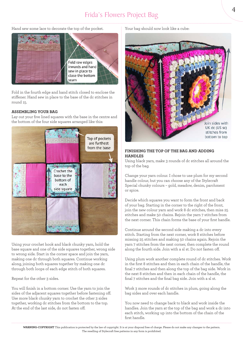# Frida's Flowers Project Bag

Hand sew some lace to decorate the top of the pocket.



Fold in the fourth edge and hand stitch closed to enclose the stiffener. Hand sew in place to the base of the dc stitches in round 15.

# **ASSEMBLING YOUR BAG**

Lay out your five lined squares with the base in the centre and the bottom of the four side squares arranged like this:



Using your crochet hook and black chunky yarn, hold the base square and one of the side squares together, wrong side to wrong side. Start in the corner space and join the yarn, making one dc through both squares. Continue working along, joining both squares together by making one dc through both loops of each edge stitch of both squares.

Repeat for the other 3 sides.

You will finish in a bottom corner. Use the yarn to join the sides of the adjacent squares together before fastening off. Use more black chunky yarn to crochet the other 3 sides together, working dc stitches from the bottom to the top. At the end of the last side, do not fasten off.

#### Your bag should now look like a cube:



# **FINISHING THE TOP OF THE BAG AND ADDING HANDLES**

Using black yarn, make 3 rounds of dc stitches all around the top of the bag.

Change your yarn colour. I chose to use plum for my second handle colour, but you can choose any of the Stylecraft Special chunky colours – gold, meadow, denim, parchment or spice.

Decide which squares you want to form the front and back of your bag. Starting in the corner to the right of the front, join the new colour yarn and work 8 dc stitches, then miss 25 stitches and make 50 chains. Rejoin the yarn 7 stitches from the next corner. This chain forms the base of your first handle.

Continue around the second side making a dc into every stitch. Starting from the next corner, work 8 stitches before missing 25 stitches and making 50 chains again. Rejoin the yarn 7 stitches from the next corner, then complete the round along the fourth side. Join with a sl st. Do not fasten off.

Using plum work another complete round of dc stitches. Work in the first 8 stitches and then in each chain of the handle, the final 7 stitches and then along the top of the bag side. Work in the next 8 stitches and then in each chain of the handle, the final 7 stitches and the final bag side. Join with a sl st.

Work 3 more rounds of dc stitches in plum, going along the bag sides and over each handle.

You now need to change back to black and work inside the handles. Join the yarn at the top of the bag and work a dc into each stitch, working up into the bottom of the chain of the first handle.

**WARNING-COPYRIGHT** This publication is protected by the law of copyright. It is at your disposal free of charge. Please do not make any changes to the pattern. The reselling of Stylecraft free patterns in any form is prohibited.